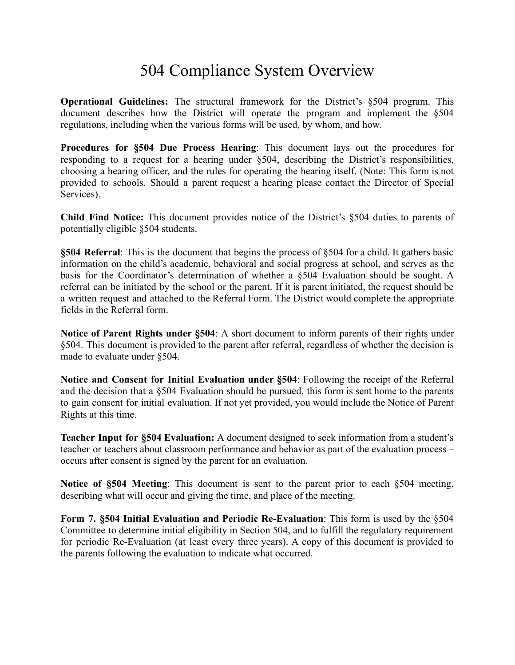## 504 Compliance System Overview

**Operational Guidelines:** The structural framework for the District's §504 program. This document describes how the District will operate the program and implement the §504 regulations, including when the various forms will be used, by whom, and how.

**Procedures for §504 Due Process Hearing**: This document lays out the procedures for responding to a request for a hearing under §504, describing the District's responsibilities, choosing a hearing officer, and the rules for operating the hearing itself. (Note: This form is not provided to schools. Should a parent request a hearing please contact the Director of Special Services).

**Child Find Notice:** This document provides notice of the District's §504 duties to parents of potentially eligible §504 students.

**§504 Referral**: This is the document that begins the process of §504 for a child. It gathers basic information on the child's academic, behavioral and social progress at school, and serves as the basis for the Coordinator's determination of whether a §504 Evaluation should be sought. A referral can be initiated by the school or the parent. If it is parent initiated, the request should be a written request and attached to the Referral Form. The District would complete the appropriate fields in the Referral form.

**Notice of Parent Rights under §504**: A short document to inform parents of their rights under §504. This document is provided to the parent after referral, regardless of whether the decision is made to evaluate under §504.

**Notice and Consent for Initial Evaluation under §504**: Following the receipt of the Referral and the decision that a §504 Evaluation should be pursued, this form is sent home to the parents to gain consent for initial evaluation. If not yet provided, you would include the Notice of Parent Rights at this time.

**Teacher Input for §504 Evaluation:** A document designed to seek information from a student's teacher or teachers about classroom performance and behavior as part of the evaluation process – occurs after consent is signed by the parent for an evaluation.

**Notice of §504 Meeting**: This document is sent to the parent prior to each §504 meeting, describing what will occur and giving the time, and place of the meeting.

**Form 7. §504 Initial Evaluation and Periodic Re-Evaluation**: This form is used by the §504 Committee to determine initial eligibility in Section 504, and to fulfill the regulatory requirement for periodic Re-Evaluation (at least every three years). A copy of this document is provided to the parents following the evaluation to indicate what occurred.